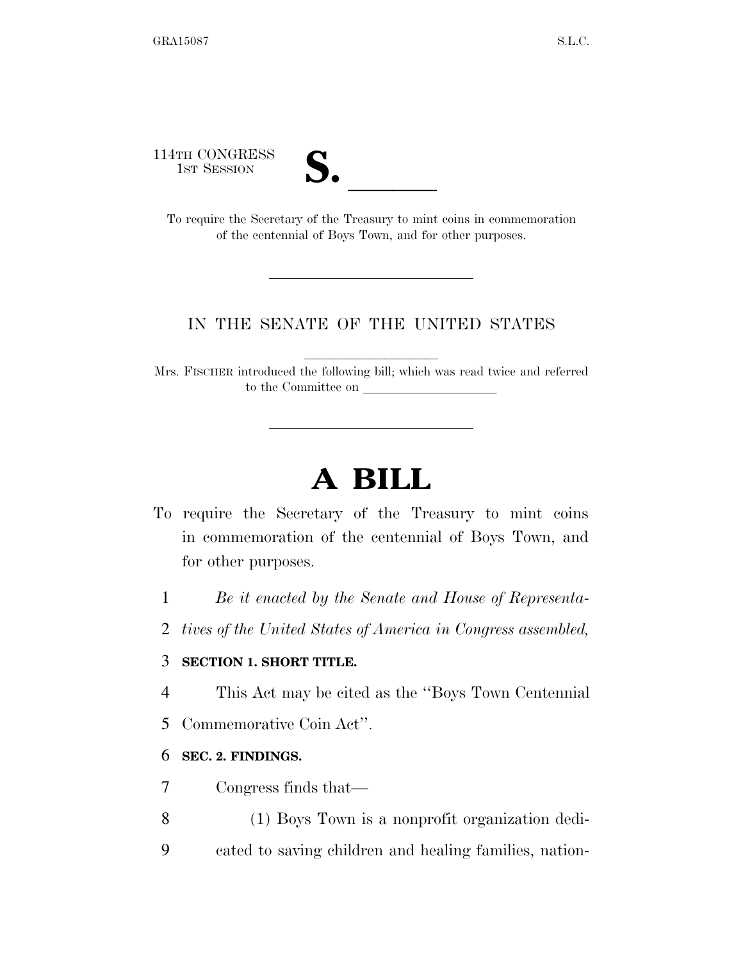114TH CONGRESS



1ST SESSION **S.** <br>To require the Secretary of the Treasury to mint coins in commemoration of the centennial of Boys Town, and for other purposes.

## IN THE SENATE OF THE UNITED STATES

Mrs. FISCHER introduced the following bill; which was read twice and referred to the Committee on

# **A BILL**

- To require the Secretary of the Treasury to mint coins in commemoration of the centennial of Boys Town, and for other purposes.
	- 1 *Be it enacted by the Senate and House of Representa-*
	- 2 *tives of the United States of America in Congress assembled,*

# 3 **SECTION 1. SHORT TITLE.**

- 4 This Act may be cited as the ''Boys Town Centennial
- 5 Commemorative Coin Act''.

## 6 **SEC. 2. FINDINGS.**

- 7 Congress finds that—
- 8 (1) Boys Town is a nonprofit organization dedi-
- 9 cated to saving children and healing families, nation-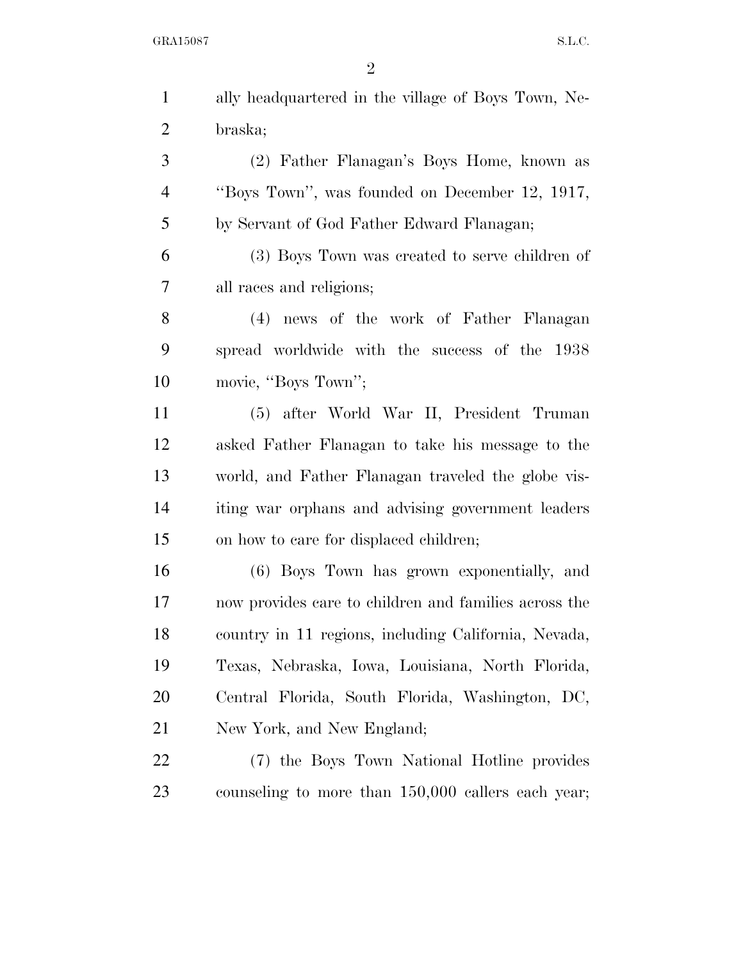GRA15087 S.L.C.

| $\mathbf{1}$   | ally headquartered in the village of Boys Town, Ne-   |
|----------------|-------------------------------------------------------|
| $\overline{2}$ | braska;                                               |
| 3              | (2) Father Flanagan's Boys Home, known as             |
| $\overline{4}$ | "Boys Town", was founded on December 12, 1917,        |
| 5              | by Servant of God Father Edward Flanagan;             |
| 6              | (3) Boys Town was created to serve children of        |
| 7              | all races and religions;                              |
| 8              | (4) news of the work of Father Flanagan               |
| 9              | spread worldwide with the success of the 1938         |
| 10             | movie, "Boys Town";                                   |
| 11             | (5) after World War II, President Truman              |
| 12             | asked Father Flanagan to take his message to the      |
| 13             | world, and Father Flanagan traveled the globe vis-    |
| 14             | iting war orphans and advising government leaders     |
| 15             | on how to care for displaced children;                |
| 16             | (6) Boys Town has grown exponentially, and            |
| 17             | now provides care to children and families across the |
| 18             | country in 11 regions, including California, Nevada,  |
| 19             | Texas, Nebraska, Iowa, Louisiana, North Florida,      |
| 20             | Central Florida, South Florida, Washington, DC,       |
| 21             | New York, and New England;                            |
| 22             | (7) the Boys Town National Hotline provides           |
| 23             | counseling to more than 150,000 callers each year;    |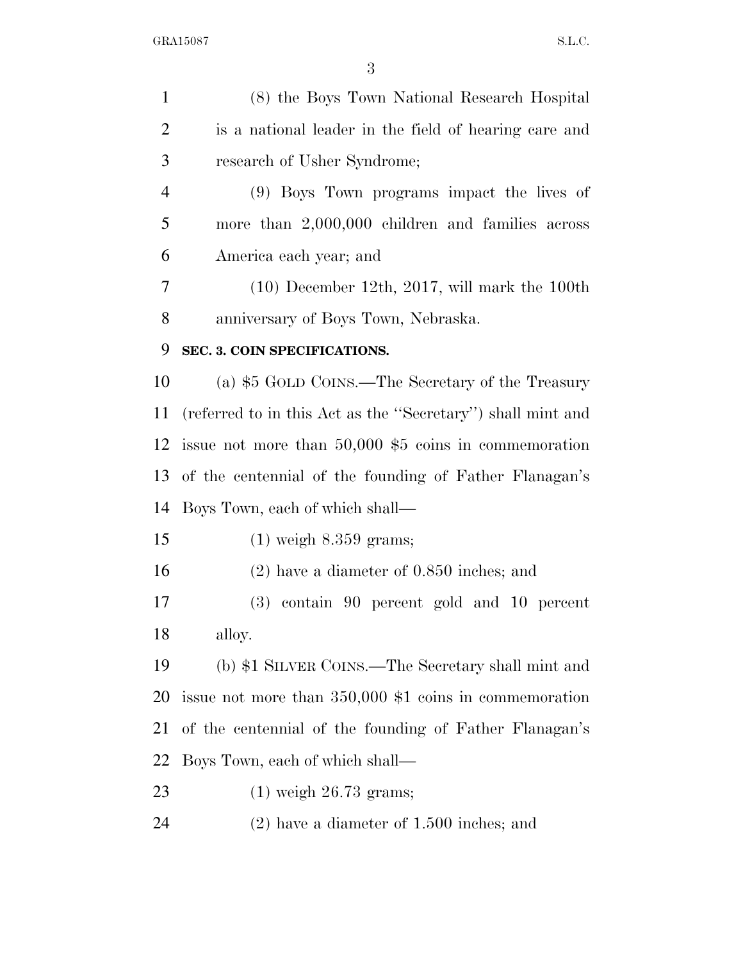| $\mathbf{1}$   | (8) the Boys Town National Research Hospital                |
|----------------|-------------------------------------------------------------|
| $\overline{2}$ | is a national leader in the field of hearing care and       |
| 3              | research of Usher Syndrome;                                 |
| $\overline{4}$ | (9) Boys Town programs impact the lives of                  |
| 5              | more than $2,000,000$ children and families across          |
| 6              | America each year; and                                      |
| 7              | $(10)$ December 12th, 2017, will mark the 100th             |
| 8              | anniversary of Boys Town, Nebraska.                         |
| 9              | SEC. 3. COIN SPECIFICATIONS.                                |
| 10             | (a) \$5 GOLD COINS.—The Secretary of the Treasury           |
| 11             | (referred to in this Act as the "Secretary") shall mint and |
| 12             | issue not more than $50,000$ \$5 coins in commemoration     |
| 13             | of the centennial of the founding of Father Flanagan's      |
| 14             | Boys Town, each of which shall—                             |
| 15             | $(1)$ weigh $8.359$ grams;                                  |
| 16             | $(2)$ have a diameter of 0.850 inches; and                  |
| 17             | $(3)$ contain 90 percent gold and 10 percent                |
| 18             | alloy.                                                      |
| 19             | (b) \$1 SILVER COINS.—The Secretary shall mint and          |
| 20             | issue not more than $350,000$ \$1 coins in commemoration    |
| 21             | of the centennial of the founding of Father Flanagan's      |
| 22             | Boys Town, each of which shall—                             |
| 23             | $(1)$ weigh 26.73 grams;                                    |
| 24             | $(2)$ have a diameter of 1.500 inches; and                  |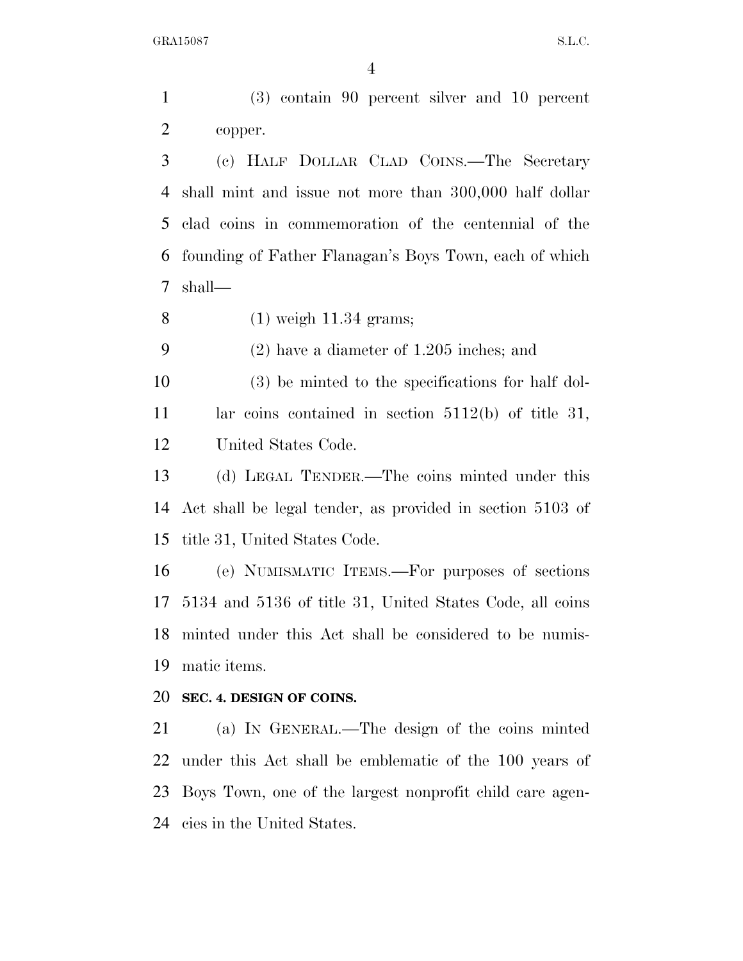(3) contain 90 percent silver and 10 percent copper.

 (c) HALF DOLLAR CLAD COINS.—The Secretary shall mint and issue not more than 300,000 half dollar clad coins in commemoration of the centennial of the founding of Father Flanagan's Boys Town, each of which shall—

(1) weigh 11.34 grams;

(2) have a diameter of 1.205 inches; and

 (3) be minted to the specifications for half dol- lar coins contained in section 5112(b) of title 31, United States Code.

 (d) LEGAL TENDER.—The coins minted under this Act shall be legal tender, as provided in section 5103 of title 31, United States Code.

 (e) NUMISMATIC ITEMS.—For purposes of sections 5134 and 5136 of title 31, United States Code, all coins minted under this Act shall be considered to be numis-matic items.

#### **SEC. 4. DESIGN OF COINS.**

 (a) IN GENERAL.—The design of the coins minted under this Act shall be emblematic of the 100 years of Boys Town, one of the largest nonprofit child care agen-cies in the United States.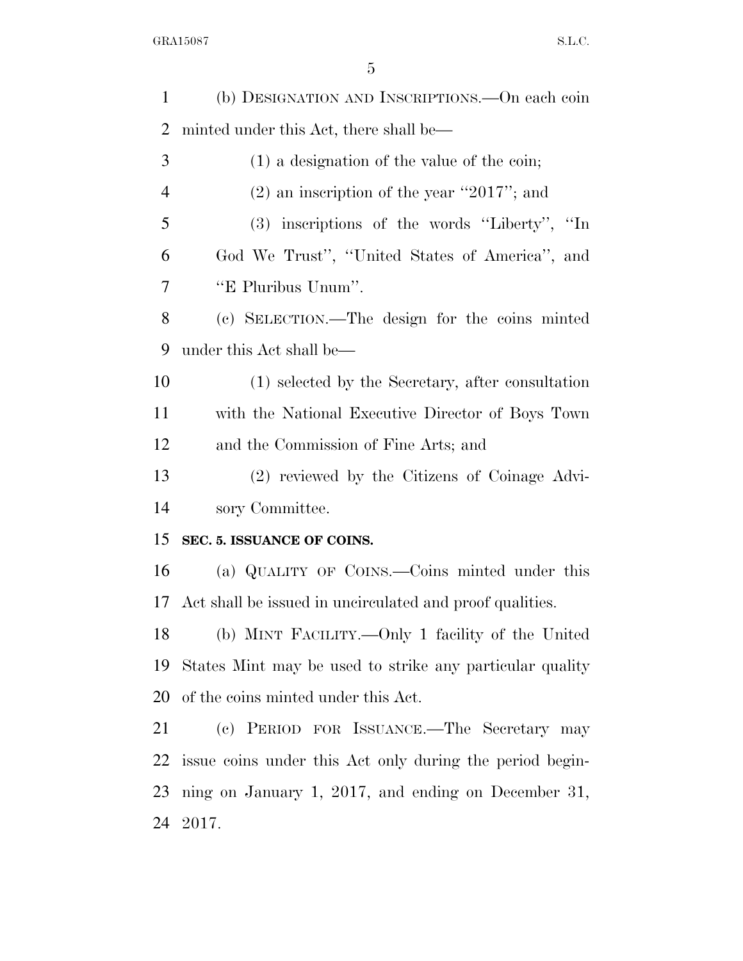| minted under this Act, there shall be—                   |
|----------------------------------------------------------|
|                                                          |
| $(1)$ a designation of the value of the coin;            |
| $(2)$ an inscription of the year "2017"; and             |
| (3) inscriptions of the words "Liberty", "In             |
| God We Trust", "United States of America", and           |
| "E Pluribus Unum".                                       |
| (c) SELECTION.—The design for the coins minted           |
| under this Act shall be—                                 |
| (1) selected by the Secretary, after consultation        |
| with the National Executive Director of Boys Town        |
| and the Commission of Fine Arts; and                     |
| (2) reviewed by the Citizens of Coinage Advi-            |
| sory Committee.                                          |
| SEC. 5. ISSUANCE OF COINS.                               |
| (a) QUALITY OF COINS.—Coins minted under this            |
| Act shall be issued in uncirculated and proof qualities. |
| (b) MINT FACILITY.—Only 1 facility of the United         |
| States Mint may be used to strike any particular quality |
| of the coins minted under this Act.                      |
|                                                          |
| (c) PERIOD FOR ISSUANCE.—The Secretary may               |
| issue coins under this Act only during the period begin- |
| ning on January 1, 2017, and ending on December 31,      |
|                                                          |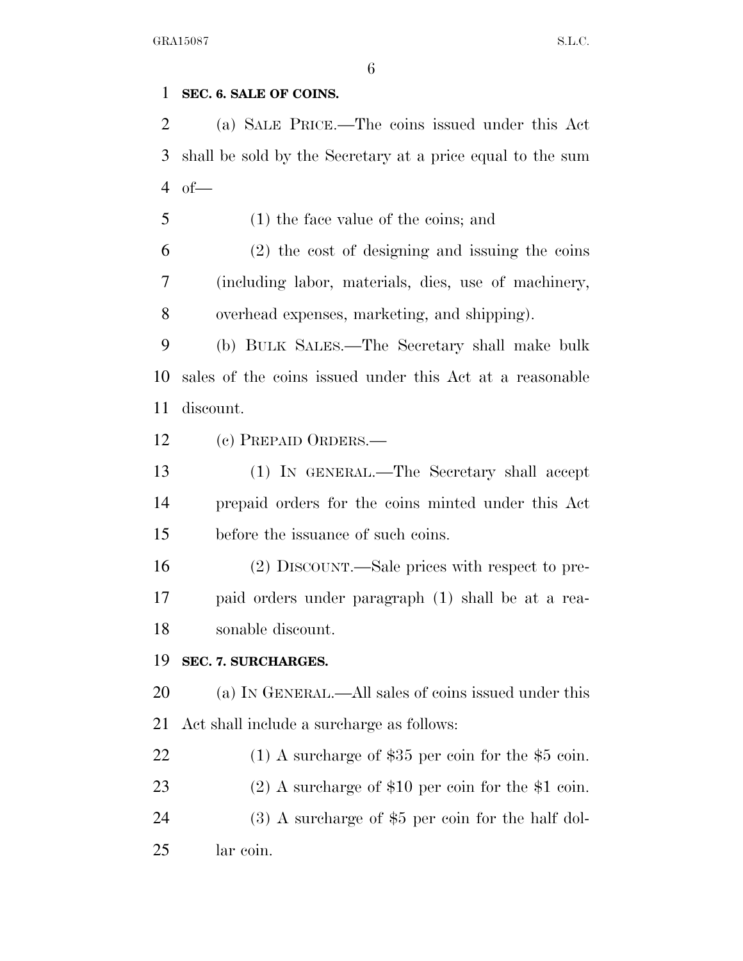# **SEC. 6. SALE OF COINS.**

 (a) SALE PRICE.—The coins issued under this Act shall be sold by the Secretary at a price equal to the sum of—

(1) the face value of the coins; and

 (2) the cost of designing and issuing the coins (including labor, materials, dies, use of machinery, overhead expenses, marketing, and shipping).

 (b) BULK SALES.—The Secretary shall make bulk sales of the coins issued under this Act at a reasonable discount.

(c) PREPAID ORDERS.—

 (1) IN GENERAL.—The Secretary shall accept prepaid orders for the coins minted under this Act before the issuance of such coins.

 (2) DISCOUNT.—Sale prices with respect to pre- paid orders under paragraph (1) shall be at a rea-sonable discount.

# **SEC. 7. SURCHARGES.**

 (a) IN GENERAL.—All sales of coins issued under this Act shall include a surcharge as follows:

22 (1) A surcharge of \$35 per coin for the \$5 coin. (2) A surcharge of \$10 per coin for the \$1 coin. (3) A surcharge of \$5 per coin for the half dol-lar coin.